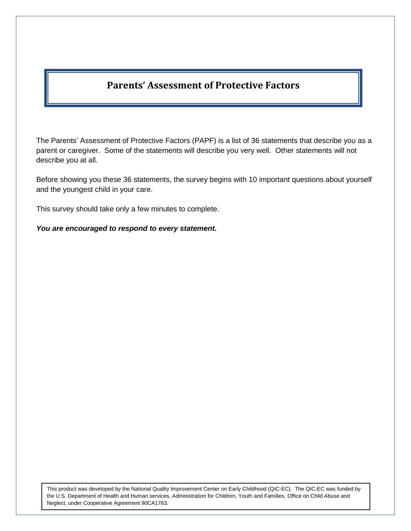## **Parents' Assessment of Protective Factors**

The Parents' Assessment of Protective Factors (PAPF) is a list of 36 statements that describe you as a parent or caregiver. Some of the statements will describe you very well. Other statements will not describe you at all.

Before showing you these 36 statements, the survey begins with 10 important questions about yourself and the youngest child in your care.

This survey should take only a few minutes to complete.

*You are encouraged to respond to every statement.* 

This product was developed by the National Quality Improvement Center on Early Childhood (QIC-EC). The QIC-EC was funded by the U.S. Department of Health and Human services, Administration for Children, Youth and Families, Office on Child Abuse and Neglect, under Cooperative Agreement 90CA1763.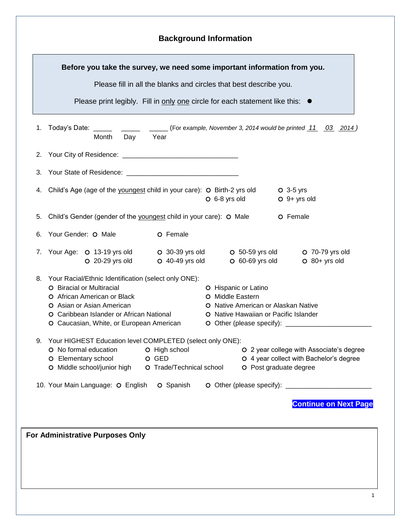|    | Before you take the survey, we need some important information from you.                                                                                                                                                              |                                                    |                                                                                                                                                       |                                                                                                               |  |  |
|----|---------------------------------------------------------------------------------------------------------------------------------------------------------------------------------------------------------------------------------------|----------------------------------------------------|-------------------------------------------------------------------------------------------------------------------------------------------------------|---------------------------------------------------------------------------------------------------------------|--|--|
|    |                                                                                                                                                                                                                                       |                                                    | Please fill in all the blanks and circles that best describe you.                                                                                     |                                                                                                               |  |  |
|    | Please print legibly. Fill in only one circle for each statement like this: ●                                                                                                                                                         |                                                    |                                                                                                                                                       |                                                                                                               |  |  |
| 1. | Today's Date: $\frac{1}{\sqrt{1-\frac{1}{2}}}\frac{1}{\sqrt{1-\frac{1}{2}}\sqrt{1-\frac{1}{2}}\sqrt{1-\frac{1}{2}}\sqrt{1-\frac{1}{2}}$<br>Day<br>Month                                                                               | Year                                               |                                                                                                                                                       | $\frac{1}{1}$ (For example, November 3, 2014 would be printed $\frac{11}{10}$ 03 2014)                        |  |  |
|    |                                                                                                                                                                                                                                       |                                                    |                                                                                                                                                       |                                                                                                               |  |  |
| 3. |                                                                                                                                                                                                                                       |                                                    |                                                                                                                                                       |                                                                                                               |  |  |
|    | 4. Child's Age (age of the youngest child in your care): O Birth-2 yrs old                                                                                                                                                            |                                                    | O 6-8 yrs old                                                                                                                                         | $O$ 3-5 yrs<br>$O$ 9+ yrs old                                                                                 |  |  |
| 5. | Child's Gender (gender of the youngest child in your care): O Male                                                                                                                                                                    |                                                    |                                                                                                                                                       | O Female                                                                                                      |  |  |
| 6. | Your Gender: O Male                                                                                                                                                                                                                   | O Female                                           |                                                                                                                                                       |                                                                                                               |  |  |
|    | 7. Your Age: O 13-19 yrs old<br>O 20-29 yrs old                                                                                                                                                                                       | O $40-49$ yrs old                                  | $O$ 60-69 yrs old                                                                                                                                     | O 30-39 yrs old O 50-59 yrs old O 70-79 yrs old<br>$O$ 80+ yrs old                                            |  |  |
| 8. | Your Racial/Ethnic Identification (select only ONE):<br>O Biracial or Multiracial<br>O African American or Black<br>O Asian or Asian American<br>O Caribbean Islander or African National<br>O Caucasian, White, or European American |                                                    | O Hispanic or Latino<br>O Middle Eastern<br>O Native American or Alaskan Native<br>O Native Hawaiian or Pacific Islander<br>O Other (please specify): |                                                                                                               |  |  |
| 9. | Your HIGHEST Education level COMPLETED (select only ONE):<br>O No formal education<br>O Elementary school<br>O Middle school/junior high                                                                                              | O High school<br>O GED<br>O Trade/Technical school |                                                                                                                                                       | O 2 year college with Associate's degree<br>O 4 year collect with Bachelor's degree<br>O Post graduate degree |  |  |
|    | 10. Your Main Language: O English                                                                                                                                                                                                     | O Spanish                                          |                                                                                                                                                       | <b>Continue on Next Page</b>                                                                                  |  |  |
|    | For Administrative Purposes Only                                                                                                                                                                                                      |                                                    |                                                                                                                                                       |                                                                                                               |  |  |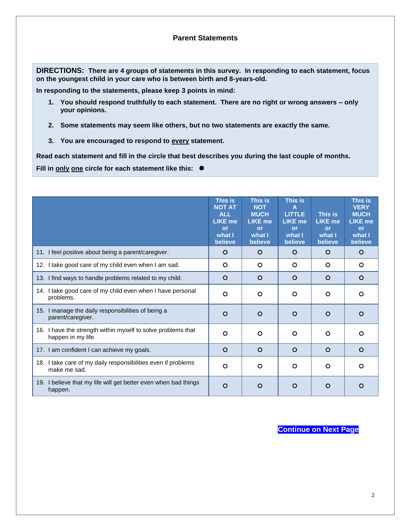## **Parent Statements**

**DIRECTIONS: There are 4 groups of statements in this survey. In responding to each statement, focus on the youngest child in your care who is between birth and 8-years-old.**

**In responding to the statements, please keep 3 points in mind:**

- **1. You should respond truthfully to each statement. There are no right or wrong answers – only your opinions.**
- **2. Some statements may seem like others, but no two statements are exactly the same.**
- **3. You are encouraged to respond to every statement.**

**Read each statement and fill in the circle that best describes you during the last couple of months.** 

**Fill in only one circle for each statement like this:** 

|                                                                                    | This is<br><b>NOT AT</b><br><b>ALL</b><br><b>LIKE me</b><br>or<br>what I<br>believe | This is<br><b>NOT</b><br><b>MUCH</b><br><b>LIKE me</b><br>or<br>what I<br>believe | This is<br><b>LITTLE</b><br><b>LIKE me</b><br><b>or</b><br>what I<br>believe | This is<br><b>LIKE</b> me<br><b>or</b><br>what I<br>believe | This is<br><b>VERY</b><br><b>MUCH</b><br><b>LIKE me</b><br>or<br>what I<br>believe |
|------------------------------------------------------------------------------------|-------------------------------------------------------------------------------------|-----------------------------------------------------------------------------------|------------------------------------------------------------------------------|-------------------------------------------------------------|------------------------------------------------------------------------------------|
| 11. I feel positive about being a parent/caregiver.                                | O                                                                                   | $\circ$                                                                           | $\circ$                                                                      | $\circ$                                                     | O                                                                                  |
| 12. I take good care of my child even when I am sad.                               | O                                                                                   | $\circ$                                                                           | $\circ$                                                                      | O                                                           | O                                                                                  |
| 13. I find ways to handle problems related to my child.                            | $\circ$                                                                             | $\circ$                                                                           | $\circ$                                                                      | $\circ$                                                     | $\circ$                                                                            |
| 14. I take good care of my child even when I have personal<br>problems.            | O                                                                                   | $\circ$                                                                           | $\circ$                                                                      | $\circ$                                                     | O                                                                                  |
| 15. I manage the daily responsibilities of being a<br>parent/caregiver.            | O                                                                                   | O                                                                                 | $\circ$                                                                      | O                                                           | O                                                                                  |
| 16. I have the strength within myself to solve problems that<br>happen in my life. | O                                                                                   | $\circ$                                                                           | O                                                                            | $\circ$                                                     | O                                                                                  |
| 17. I am confident I can achieve my goals.                                         | O                                                                                   | $\circ$                                                                           | O                                                                            | O                                                           | O                                                                                  |
| 18. I take care of my daily responsibilities even if problems<br>make me sad.      | O                                                                                   | $\circ$                                                                           | O                                                                            | $\circ$                                                     | O                                                                                  |
| 19. I believe that my life will get better even when bad things<br>happen.         | O                                                                                   | O                                                                                 | O                                                                            | $\circ$                                                     | O                                                                                  |

**Continue on Next Page**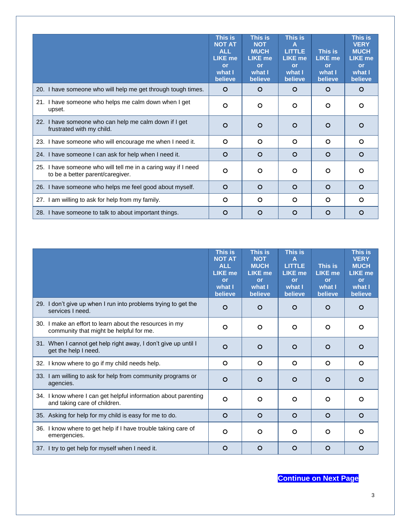|                                                                                                   | This is<br><b>NOT AT</b><br><b>ALL</b><br><b>LIKE me</b><br>or<br>what I<br>believe | This is<br><b>NOT</b><br><b>MUCH</b><br><b>LIKE me</b><br>or<br>what I<br>believe | This is<br>Α<br><b>LITTLE</b><br><b>LIKE me</b><br>or<br>what I<br>believe | This is<br><b>LIKE me</b><br>or<br>what I<br>believe | This is<br><b>VERY</b><br><b>MUCH</b><br><b>LIKE me</b><br>or<br>what I<br>believe |
|---------------------------------------------------------------------------------------------------|-------------------------------------------------------------------------------------|-----------------------------------------------------------------------------------|----------------------------------------------------------------------------|------------------------------------------------------|------------------------------------------------------------------------------------|
| 20. I have someone who will help me get through tough times.                                      | O                                                                                   | O                                                                                 | $\circ$                                                                    | $\circ$                                              | $\circ$                                                                            |
| 21. I have someone who helps me calm down when I get<br>upset.                                    | $\circ$                                                                             | $\circ$                                                                           | $\circ$                                                                    | O                                                    | $\circ$                                                                            |
| 22. I have someone who can help me calm down if I get<br>frustrated with my child.                | O                                                                                   | $\circ$                                                                           | $\circ$                                                                    | O                                                    | O                                                                                  |
| 23. I have someone who will encourage me when I need it.                                          | O                                                                                   | O                                                                                 | $\circ$                                                                    | $\circ$                                              | $\circ$                                                                            |
| 24. I have someone I can ask for help when I need it.                                             | $\circ$                                                                             | O                                                                                 | $\circ$                                                                    | $\circ$                                              | $\circ$                                                                            |
| 25. I have someone who will tell me in a caring way if I need<br>to be a better parent/caregiver. | O                                                                                   | $\circ$                                                                           | $\circ$                                                                    | O                                                    | $\circ$                                                                            |
| 26. I have someone who helps me feel good about myself.                                           | $\circ$                                                                             | $\circ$                                                                           | $\circ$                                                                    | $\Omega$                                             | $\circ$                                                                            |
| 27. I am willing to ask for help from my family.                                                  | $\Omega$                                                                            | $\Omega$                                                                          | $\Omega$                                                                   | $\Omega$                                             | $\Omega$                                                                           |
| 28. I have someone to talk to about important things.                                             | O                                                                                   | $\circ$                                                                           | $\circ$                                                                    | O                                                    | O                                                                                  |

|                                                                                                    | This is<br><b>NOT AT</b><br><b>ALL</b><br><b>LIKE me</b><br>or<br>what I<br>believe | <b>This is</b><br><b>NOT</b><br><b>MUCH</b><br><b>LIKE me</b><br>or<br>what I<br>believe | This is<br>Α<br><b>LITTLE</b><br><b>LIKE me</b><br><b>or</b><br>what I<br>believe | This is<br><b>LIKE me</b><br>or<br>what I<br>believe | <b>This is</b><br><b>VERY</b><br><b>MUCH</b><br><b>LIKE me</b><br>or<br>what I<br>believe |
|----------------------------------------------------------------------------------------------------|-------------------------------------------------------------------------------------|------------------------------------------------------------------------------------------|-----------------------------------------------------------------------------------|------------------------------------------------------|-------------------------------------------------------------------------------------------|
| 29. I don't give up when I run into problems trying to get the<br>services I need.                 | $\circ$                                                                             | O                                                                                        | $\circ$                                                                           | $\circ$                                              | O                                                                                         |
| 30. I make an effort to learn about the resources in my<br>community that might be helpful for me. | $\circ$                                                                             | $\circ$                                                                                  | O                                                                                 | $\circ$                                              | $\circ$                                                                                   |
| 31. When I cannot get help right away, I don't give up until I<br>get the help I need.             | $\circ$                                                                             | O                                                                                        | $\circ$                                                                           | $\Omega$                                             | $\Omega$                                                                                  |
| 32. I know where to go if my child needs help.                                                     | $\circ$                                                                             | $\circ$                                                                                  | $\circ$                                                                           | $\circ$                                              | $\circ$                                                                                   |
| 33. I am willing to ask for help from community programs or<br>agencies.                           | $\circ$                                                                             | O                                                                                        | $\circ$                                                                           | $\circ$                                              | O                                                                                         |
| 34. I know where I can get helpful information about parenting<br>and taking care of children.     | $\circ$                                                                             | $\circ$                                                                                  | $\circ$                                                                           | $\circ$                                              | O                                                                                         |
| 35. Asking for help for my child is easy for me to do.                                             | $\circ$                                                                             | $\circ$                                                                                  | $\circ$                                                                           | $\circ$                                              | $\circ$                                                                                   |
| 36. I know where to get help if I have trouble taking care of<br>emergencies.                      | $\circ$                                                                             | O                                                                                        | O                                                                                 | $\circ$                                              | O                                                                                         |
| 37. I try to get help for myself when I need it.                                                   | $\circ$                                                                             | $\circ$                                                                                  | $\circ$                                                                           | $\circ$                                              | O                                                                                         |

## **Continue on Next Page**